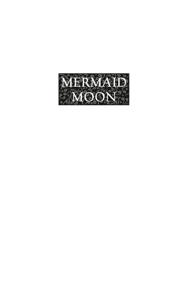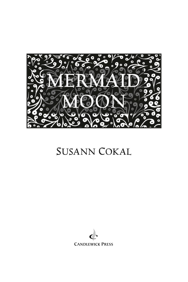

## **SUSANN COKAL**

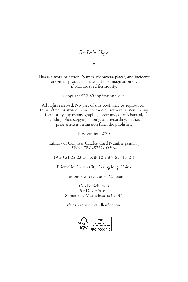## *For Leslie Hayes*

**•**

This is a work of fiction. Names, characters, places, and incidents are either products of the author's imagination or, if real, are used fictitiously.

Copyright © 2020 by Susann Cokal

All rights reserved. No part of this book may be reproduced, transmitted, or stored in an information retrieval system in any form or by any means, graphic, electronic, or mechanical, including photocopying, taping, and recording, without prior written permission from the publisher.

First edition 2020

 Library of Congress Catalog Card Number pending ISBN 978-1-5362-0959-4

19 20 21 22 23 24 DGF 10 9 8 7 6 5 4 3 2 1

Printed in Foshan City, Guangdong, China

This book was typeset in Centaur.

 Candlewick Press 99 Dover Street Somerville, Massachusetts 02144

visit us at www.candlewick.com

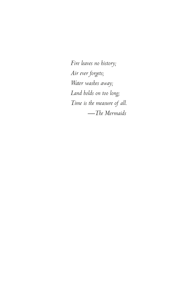*Fire leaves no history; Air ever forgets; Water washes away; Land holds on too long; Time is the measure of all. — The Mermaids*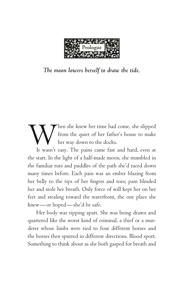

*The moon lowers herself to draw the tide.*

When she knew her time had come, she slipped<br>from the quiet of her father's house to make<br>her way down to the docks.<br>It wasn't easy. The pains came fast and hard, even at hen she knew her time had come, she slipped from the quiet of her father's house to make her way down to the docks.

the start. In the light of a half-made moon, she stumbled in the familiar ruts and puddles of the path she'd raced down many times before. Each pain was an ember blazing from her belly to the tips of her fingers and toes; pain blinded her and stole her breath. Only force of will kept her on her feet and stealing toward the waterfront, the one place she knew — or hoped — she'd be safe.

Her body was ripping apart. She was being drawn and quartered like the worst kind of criminal, a thief or a murderer whose limbs were tied to four different horses and the horses then spurred in different directions. Blood sport. Something to think about as she both gasped for breath and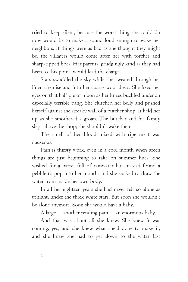tried to keep silent, because the worst thing she could do now would be to make a sound loud enough to wake her neighbors. If things were as bad as she thought they might be, the villagers would come after her with torches and sharp- tipped hoes. Her parents, grudgingly kind as they had been to this point, would lead the charge.

 Stars swaddled the sky while she sweated through her linen chemise and into her coarse wool dress. She fixed her eyes on that half pie of moon as her knees buckled under an especially terrible pang. She clutched her belly and pushed herself against the streaky wall of a butcher shop. It held her up as she smothered a groan. The butcher and his family slept above the shop; she shouldn't wake them.

The smell of her blood mixed with ripe meat was nauseous.

Pain is thirsty work, even in a cool month when green things are just beginning to take on summer hues. She wished for a barrel full of rainwater but instead found a pebble to pop into her mouth, and she sucked to draw the water from inside her own body.

In all her eighteen years she had never felt so alone as tonight, under the thick white stars. But soon she wouldn't be alone anymore. Soon she would have a baby.

A large — another rending pain — an enormous baby.

And that was about all she knew. She knew it was coming, yes, and she knew what she'd done to make it, and she knew she had to get down to the water fast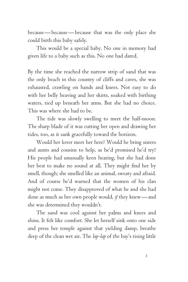because — because — because that was the only place she could birth this baby safely.

This would be a special baby. No one in memory had given life to a baby such as this. No one had dared.

By the time she reached the narrow strip of sand that was the only beach in this country of cliffs and caves, she was exhausted, crawling on hands and knees. Not easy to do with her belly heaving and her skirts, soaked with birthing waters, tied up beneath her arms. But she had no choice. This was where she had to be.

The tide was slowly swelling to meet the half-moon. The sharp blade of it was cutting her open and drawing her tides, too, as it sank gracefully toward the horizon.

 Would her lover meet her here? Would he bring sisters and aunts and cousins to help, as he'd promised he'd try? His people had unusually keen hearing, but she had done her best to make no sound at all. They might find her by smell, though; she smelled like an animal, sweaty and afraid. And of course he'd warned that the women of his clan might not come. They disapproved of what he and she had done as much as her own people would, *if* they knew-and she was determined they wouldn't.

The sand was cool against her palms and knees and shins. It felt like comfort. She let herself sink onto one side and press her temple against that yielding damp, breathe deep of the clean wet air. The *lap- lap* of the bay's rising little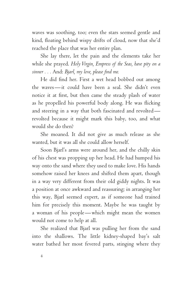waves was soothing, too; even the stars seemed gentle and kind, floating behind wispy drifts of cloud, now that she'd reached the place that was her entire plan.

She lay there, let the pain and the elements take her while she prayed. *Holy Virgin, Empress of the Seas, have pity on a*  sinner . . . And: *Bjarl*, my love, please find me.

He did find her. First a wet head bobbed out among the waves — it could have been a seal. She didn't even notice it at first, but then came the steady plash of water as he propelled his powerful body along. He was flicking and steering in a way that both fascinated and revolted revolted because it might mark this baby, too, and what would she do then?

She moaned. It did not give as much release as she wanted, but it was all she could allow herself.

Soon Bjarl's arms were around her, and the chilly skin of his chest was propping up her head. He had humped his way onto the sand where they used to make love. His hands somehow raised her knees and shifted them apart, though in a way very different from their old giddy nights. It was a position at once awkward and reassuring; in arranging her this way, Bjarl seemed expert, as if someone had trained him for precisely this moment. Maybe he was taught by a woman of his people — which might mean the women would not come to help at all.

She realized that Bjarl was pulling her from the sand into the shallows. The little kidney-shaped bay's salt water bathed her most fevered parts, stinging where they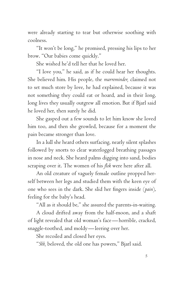were already starting to tear but otherwise soothing with coolness.

"It won't be long," he promised, pressing his lips to her brow. "Our babies come quickly."

She wished he'd tell her that he loved her.

"I love you," he said, as if he could hear her thoughts. She believed him. His people, the *marreminder,* claimed not to set much store by love, he had explained, because it was not something they could eat or hoard, and in their long, long lives they usually outgrew all emotion. But if Bjarl said he loved her, then surely he did.

She gasped out a few sounds to let him know she loved him too, and then she growled, because for a moment the pain became stronger than love.

In a lull she heard others surfacing, nearly silent splashes followed by snorts to clear waterlogged breathing passages in nose and neck. She heard palms digging into sand, bodies scraping over it. The women of his *flok* were here after all.

An old creature of vaguely female outline propped herself between her legs and studied them with the keen eye of one who sees in the dark. She slid her fingers inside (pain), feeling for the baby's head.

"All as it should be," she assured the parents-in-waiting.

A cloud drifted away from the half-moon, and a shaft of light revealed that old woman's face — horrible, cracked, snaggle- toothed, and moldy — leering over her.

She recoiled and closed her eyes.

"*Shh,* beloved, the old one has powers," Bjarl said.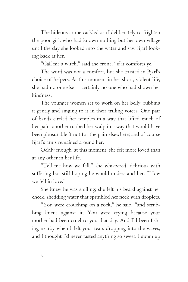The hideous crone cackled as if deliberately to frighten the poor girl, who had known nothing but her own village until the day she looked into the water and saw Bjarl looking back at her.

"Call me a witch," said the crone, "if it comforts ye."

The word was not a comfort, but she trusted in Bjarl's choice of helpers. At this moment in her short, violent life, she had no one else — certainly no one who had shown her kindness.

The younger women set to work on her belly, rubbing it gently and singing to it in their trilling voices. One pair of hands circled her temples in a way that lifted much of her pain; another rubbed her scalp in a way that would have been pleasurable if not for the pain elsewhere; and of course Bjarl's arms remained around her.

 Oddly enough, at this moment, she felt more loved than at any other in her life.

"Tell me how we fell," she whispered, delirious with suffering but still hoping he would understand her. "How we fell in love."

She knew he was smiling; she felt his beard against her cheek, shedding water that sprinkled her neck with droplets.

"You were crouching on a rock," he said, "and scrubbing linens against it. You were crying because your mother had been cruel to you that day. And I'd been fishing nearby when I felt your tears dropping into the waves, and I thought I'd never tasted anything so sweet. I swam up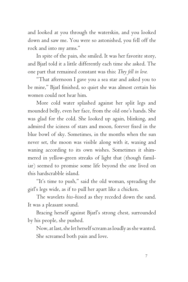and looked at you through the waterskin, and you looked down and saw me. You were so astonished, you fell off the rock and into my arms."

In spite of the pain, she smiled. It was her favorite story, and Bjarl told it a little differently each time she asked. The one part that remained constant was this: *They fell in love.*

"That afternoon I gave you a sea star and asked you to be mine," Bjarl finished, so quiet she was almost certain his women could not hear him.

More cold water splashed against her split legs and mounded belly, even her face, from the old one's hands. She was glad for the cold. She looked up again, blinking, and admired the iciness of stars and moon, forever fixed in the blue bowl of sky. Sometimes, in the months when the sun never set, the moon was visible along with it, waxing and waning according to its own wishes. Sometimes it shimmered in yellow-green streaks of light that (though familiar) seemed to promise some life beyond the one lived on this hardscrabble island.

"It's time to push," said the old woman, spreading the girl's legs wide, as if to pull her apart like a chicken.

The wavelets *hiss- hiss*ed as they receded down the sand. It was a pleasant sound.

 Bracing herself against Bjarl's strong chest, surrounded by his people, she pushed.

Now, at last, she let herself scream as loudly as she wanted. She screamed both pain and love.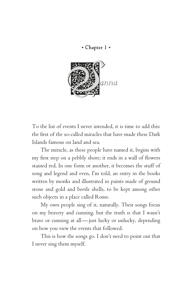**• Chapter 1 •**



To the list of events I never intended, it is time to add this: the first of the so-called miracles that have made these Dark Islands famous on land and sea.

The miracle, as these people have named it, begins with my first step on a pebbly shore; it ends in a wall of flowers stained red. In one form or another, it becomes the stuff of song and legend and even, I'm told, an entry in the books written by monks and illustrated in paints made of ground stone and gold and beetle shells, to be kept among other such objects in a place called Rome.

My own people sing of it, naturally. Their songs focus on my bravery and cunning, but the truth is that I wasn't brave or cunning at all — just lucky or unlucky, depending on how you view the events that followed.

This is how the songs go. I don't need to point out that I never sing them myself.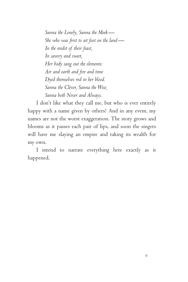*Sanna the Lonely, Sanna the Meek — She who was first to set foot on the land*— *In the midst of their feast, In savory and sweet, Her body sang out the elements: Air and earth and fi re and time Dyed themselves red in her blood. Sanna the Clever, Sanna the Wise; Sanna both Never and Always.*

I don't like what they call me, but who is ever entirely happy with a name given by others? And in any event, my names are not the worst exaggeration. The story grows and blooms as it passes each pair of lips, and soon the singers will have me slaying an empire and taking its wealth for my own.

I intend to narrate everything here exactly as it happened.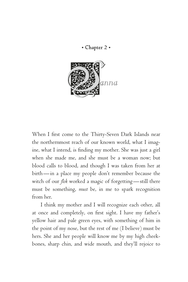**• Chapter 2 •**



When I first come to the Thirty-Seven Dark Islands near the northernmost reach of our known world, what I imagine, what I intend, is finding my mother. She was just a girl when she made me, and she must be a woman now; but blood calls to blood, and though I was taken from her at birth — in a place my people don't remember because the witch of our *flok* worked a magic of forgetting — still there must be something, *must* be, in me to spark recognition from her.

I think my mother and I will recognize each other, all at once and completely, on first sight. I have my father's yellow hair and pale green eyes, with something of him in the point of my nose, but the rest of me (I believe) must be hers. She and her people will know me by my high cheekbones, sharp chin, and wide mouth, and they'll rejoice to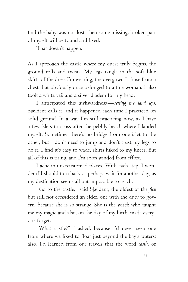find the baby was not lost; then some missing, broken part of myself will be found and fixed.

That doesn't happen.

As I approach the castle where my quest truly begins, the ground rolls and twists. My legs tangle in the soft blue skirts of the dress I'm wearing, the overgown I chose from a chest that obviously once belonged to a fine woman. I also took a white veil and a silver diadem for my head.

I anticipated this awkwardness — *getting my land legs,*  Sjældent calls it, and it happened each time I practiced on solid ground. In a way I'm still practicing now, as I have a few islets to cross after the pebbly beach where I landed myself. Sometimes there's no bridge from one islet to the other, but I don't need to jump and don't trust my legs to do it. I find it's easy to wade, skirts hiked to my knees. But all of this is tiring, and I'm soon winded from effort.

I ache in unaccustomed places. With each step, I wonder if I should turn back or perhaps wait for another day, as my destination seems all but impossible to reach.

"Go to the castle," said Sjældent, the oldest of the *flok* but still not considered an elder, one with the duty to govern, because she is so strange. She is the witch who taught me my magic and also, on the day of my birth, made everyone forget.

"What castle?" I asked, because I'd never seen one from where we liked to float just beyond the bay's waters; also, I'd learned from our travels that the word *castle,* or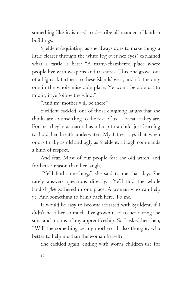something like it, is used to describe all manner of landish buildings.

 Sjældent (squinting, as she always does to make things a little clearer through the white fog over her eyes) explained what a castle is here: "A many- chambered place where people live with weapons and treasures. This one grows out of a big rock farthest to these islands' west, and it's the only one in the whole miserable place. Ye won't be able *not* to find it, if ye follow the wind."

"And my mother will be there?"

 Sjældent cackled, one of those coughing laughs that she thinks are so unsettling to the rest of us — because they are. For her they're as natural as a burp to a child just learning to hold her breath underwater. My father says that when one is finally as old and ugly as Sjældent, a laugh commands a kind of respect.

And fear. Most of our people fear the old witch, and for better reason than her laugh.

"Ye'll find something," she said to me that day. She rarely answers questions directly. "Ye'll find the whole landish *flok* gathered in one place. A woman who can help ye. And something to bring back here. To me."

It would be easy to become irritated with Sjældent, if I didn't need her so much. I've grown used to her during the suns and moons of my apprenticeship. So I asked her then, "Will the something be my mother?" I also thought, who better to help me than the woman herself?

She cackled again, ending with words children use for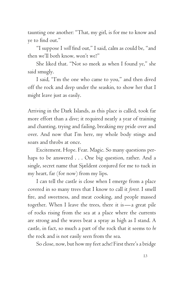taunting one another: "That, my girl, is for me to know and ye to find out."

"I suppose I will find out," I said, calm as could be, "and then we'll both know, won't we?"

She liked that. "Not so meek as when I found ye," she said smugly.

I said, "I'm the one who came to you," and then dived off the rock and deep under the seaskin, to show her that I might leave just as easily.

 Arriving in the Dark Islands, as this place is called, took far more effort than a dive; it required nearly a year of training and chanting, trying and failing, breaking my pride over and over. And now that I'm here, my whole body stings and soars and throbs at once.

 Excitement. Hope. Fear. Magic. So many questions perhaps to be answered . . . One big question, rather. And a single, secret name that Sjældent conjured for me to tuck in my heart, far (for now) from my lips.

I can tell the castle is close when I emerge from a place covered in so many trees that I know to call it *forest.* I smell fire, and sweetness, and meat cooking, and people massed together. When I leave the trees, there it is — a great pile of rocks rising from the sea at a place where the currents are strong and the waves beat a spray as high as I stand. A castle, in fact, so much a part of the rock that it seems to *be*  the rock and is not easily seen from the sea.

So close, now, but how my feet ache! First there's a bridge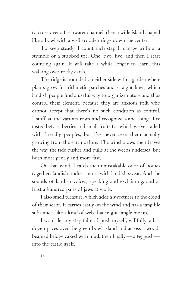to cross over a freshwater channel, then a wide island shaped like a bowl with a well-trodden ridge down the center.

To keep steady, I count each step I manage without a stumble or a stubbed toe. One, two, five, and then I start counting again. It will take a while longer to learn, this walking over rocky earth.

The ridge is bounded on either side with a garden where plants grow in arithmetic patches and straight lines, which landish people find a useful way to organize nature and thus control their element, because they are anxious folk who cannot accept that there's no such condition as control. I sniff at the various rows and recognize some things I've tasted before, berries and small fruits for which we've traded with friendly peoples, but I've never seen them actually growing from the earth before. The wind blows their leaves the way the tide pushes and pulls at the weeds undersea, but both more gently and more fast.

On that wind, I catch the unmistakable odor of bodies together: landish bodies, moist with landish sweat. And the sounds of landish voices, speaking and exclaiming, and at least a hundred pairs of jaws at work.

I also smell pleasure, which adds a sweetness to the cloud of their scent. It carries easily on the wind and has a tangible substance, like a kind of web that might tangle me up.

I won't let my step falter. I push myself, willfully, a last dozen paces over the green-bowl island and across a woodbeamed bridge caked with mud, then finally - a *big* pushinto the castle itself.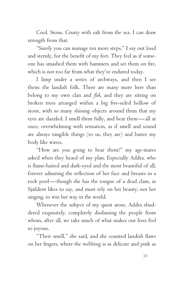Cool. Stone. Crusty with salt from the sea. I can draw strength from that.

" Surely you can manage ten more steps," I say out loud and sternly, for the benefit of my feet. They feel as if someone has smashed them with hammers and set them on fire, which is not too far from what they've endured today.

I limp under a series of archways, and then I see them: the landish folk. There are many more here than belong to my own clan and *flok*, and they are sitting on broken trees arranged within a big five-sided hollow of stone, with so many shining objects around them that my eyes are dazzled. I smell them fully, and hear them — all at once, overwhelming with sensation, as if smell and sound are always tangible things (to us, they are) and batter my body like waves.

"How are you going to bear them?" my age-mates asked when they heard of my plan. Especially Addra, who is flame-haired and dark-eyed and the most beautiful of all, forever admiring the reflection of her face and breasts in a rock pool — though she has the tongue of a dead clam, as Sjældent likes to say, and must rely on her beauty, not her singing, to win her way in the world.

 Whenever the subject of my quest arose, Addra shuddered exquisitely, completely disdaining the people from whom, after all, we take much of what makes our lives feel so joyous.

"Their smell," she said, and she counted landish flaws on her fingers, where the webbing is as delicate and pink as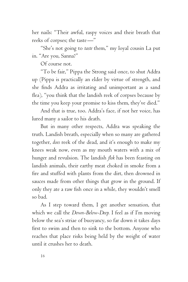her nails: " Their awful, raspy voices and their breath that reeks of corpses; the taste —"

"She's not going to *taste* them," my loyal cousin La put in. "Are you, Sanna?"

Of course not.

"To be fair," Pippa the Strong said once, to shut Addra up ( Pippa is practically an elder by virtue of strength, and she finds Addra as irritating and unimportant as a sand flea), "you think that the landish reek of corpses because by the time you keep your promise to kiss them, they've died."

And that is true, too. Addra's face, if not her voice, has lured many a sailor to his death.

But in many other respects, Addra was speaking the truth. Landish breath, especially when so many are gathered together, *does* reek of the dead, and it's enough to make my knees weak now, even as my mouth waters with a mix of hunger and revulsion. The landish *flok* has been feasting on landish animals, their earthy meat choked in smoke from a fire and stuffed with plants from the dirt, then drowned in sauces made from other things that grow in the ground. If only they ate a raw fish once in a while, they wouldn't smell so bad.

As I step toward them, I get another sensation, that which we call the *Down-Below-Deep*. I feel as if I'm moving below the sea's striae of buoyancy, so far down it takes days first to swim and then to sink to the bottom. Anyone who reaches that place risks being held by the weight of water until it crushes her to death.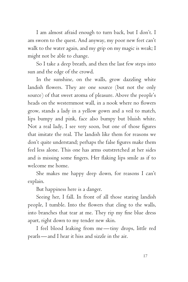I am almost afraid enough to turn back, but I don't. I am sworn to the quest. And anyway, my poor new feet can't walk to the water again, and my grip on my magic is weak; I might not be able to change.

So I take a deep breath, and then the last few steps into sun and the edge of the crowd.

In the sunshine, on the walls, grow dazzling white landish flowers. They are one source (but not the only source) of that sweet aroma of pleasure. Above the people's heads on the westernmost wall, in a nook where no flowers grow, stands a lady in a yellow gown and a veil to match, lips bumpy and pink, face also bumpy but bluish white. Not a real lady, I see very soon, but one of those figures that imitate the real. The landish like them for reasons we don't quite understand; perhaps the false figures make them feel less alone. This one has arms outstretched at her sides and is missing some fingers. Her flaking lips smile as if to welcome me home.

She makes me happy deep down, for reasons I can't explain.

But happiness here is a danger.

 Seeing her, I fall. In front of all those staring landish people, I tumble. Into the flowers that cling to the walls, into branches that tear at me. They rip my fine blue dress apart, right down to my tender new skin.

I feel blood leaking from me — tiny drops, little red pearls — and I hear it hiss and sizzle in the air.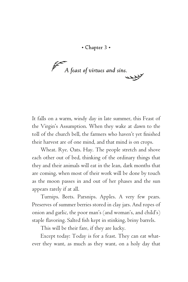**• Chapter 3 •**

*A feast of virtues and sins.*

It falls on a warm, windy day in late summer, this Feast of the Virgin's Assumption. When they wake at dawn to the toll of the church bell, the farmers who haven't yet finished their harvest are of one mind, and that mind is on crops.

 Wheat. Rye. Oats. Hay. The people stretch and shove each other out of bed, thinking of the ordinary things that they and their animals will eat in the lean, dark months that are coming, when most of their work will be done by touch as the moon passes in and out of her phases and the sun appears rarely if at all.

 Turnips. Beets. Parsnips. Apples. A very few pears. Preserves of summer berries stored in clay jars. And ropes of onion and garlic, the poor man's (and woman's, and child's) staple flavoring. Salted fish kept in stinking, briny barrels.

This will be their fare, if they are lucky.

 Except today: Today is for a feast. They can eat whatever they want, as much as they want, on a holy day that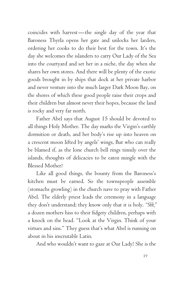coincides with harvest — the single day of the year that Baroness Thyrla opens her gate and unlocks her larders, ordering her cooks to do their best for the town. It's the day she welcomes the islanders to carry Our Lady of the Sea into the courtyard and set her in a niche, the day when she shares her own stores. And there will be plenty of the exotic goods brought in by ships that dock at her private harbor and never venture into the much larger Dark Moon Bay, on the shores of which these good people raise their crops and their children but almost never their hopes, because the land is rocky and very far north.

 Father Abel says that August 15 should be devoted to all things Holy Mother. The day marks the Virgin's earthly dormition or death, and her body's rise up into heaven on a crescent moon lifted by angels' wings, But who can really be blamed if, as the lone church bell rings tinnily over the islands, thoughts of delicacies to be eaten mingle with the Blessed Mother?

Like all good things, the bounty from the Baroness's kitchen must be earned. So the townspeople assemble (stomachs growling) in the church nave to pray with Father Abel. The elderly priest leads the ceremony in a language they don't understand; they know only that it is holy. *"Shh,"*  a dozen mothers hiss to their fidgety children, perhaps with a knock on the head. "Look at the Virgin. Think of your virtues and sins." They guess that's what Abel is running on about in his inscrutable Latin.

And who wouldn't want to gaze at Our Lady? She is the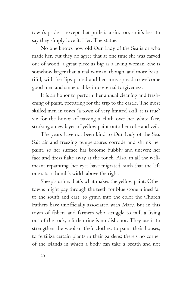town's pride — except that pride is a sin, too, so it's best to say they simply love it. Her. The statue.

No one knows how old Our Lady of the Sea is or who made her, but they do agree that at one time she was carved out of wood, a great piece as big as a living woman. She is somehow larger than a real woman, though, and more beautiful, with her lips parted and her arms spread to welcome good men and sinners alike into eternal forgiveness.

It is an honor to perform her annual cleaning and freshening of paint, preparing for the trip to the castle. The most skilled men in town (a town of very limited skill, it is true) vie for the honor of passing a cloth over her white face, stroking a new layer of yellow paint onto her robe and veil.

The years have not been kind to Our Lady of the Sea. Salt air and freezing temperatures corrode and shrink her paint, so her surface has become bubbly and uneven; her face and dress flake away at the touch. Also, in all the well meant repainting, her eyes have migrated, such that the left one sits a thumb's width above the right.

 Sheep's urine, that's what makes the yellow paint. Other towns might pay through the teeth for blue stone mined far to the south and east, to grind into the color the Church Fathers have unofficially associated with Mary. But in this town of fishers and farmers who struggle to pull a living out of the rock, a little urine is no dishonor. They use it to strengthen the wool of their clothes, to paint their houses, to fertilize certain plants in their gardens; there's no corner of the islands in which a body can take a breath and not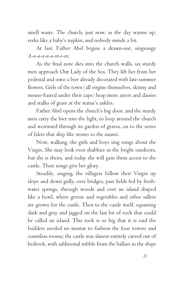smell waste. The church, just now, as the day warms up, reeks like a baby's napkin, and nobody minds a bit.

At last, Father Abel begins a drawn-out, singsongy *A-a-a-a-a-a-m-e-en.* 

As the final note dies into the church walls, six sturdy men approach Our Lady of the Sea. They lift her from her pedestal and onto a bier already decorated with late-summer flowers. Girls of the town (all virgins themselves, skinny and mouse- haired under their caps) heap more asters and daisies and stalks of grain at the statue's ankles.

 Father Abel opens the church's big door, and the sturdy men carry the bier into the light, to loop around the church and westward through its garden of graves, on to the series of Islets that skip like stones to the sunset.

Now, walking, the girls and boys sing songs about the Virgin. She may look even shabbier in the bright outdoors, but she is theirs, and today she will gain them access to the castle. Their songs give her glory.

 Steadily, singing, the villagers follow their Virgin up slope and down gully, over bridges, past fields fed by freshwater springs, through woods and over an island shaped like a bowl, where greens and vegetables and other sallets are grown for the castle. Then to the castle itself, squatting dark and gray and jagged on the last bit of rock that could be called an island. This rock is so big that it is said the builders needed no mortar to fashion the four towers and countless rooms; the castle was almost entirely carved out of bedrock, with additional rubble from the ballast in the ships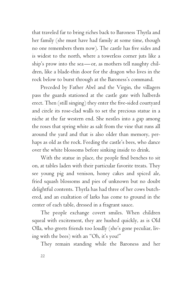that traveled far to bring riches back to Baroness Thyrla and her family (she must have had family at some time, though no one remembers them now). The castle has five sides and is widest to the north, where a towerless corner juts like a ship's prow into the sea-or, as mothers tell naughty children, like a blade-thin door for the dragon who lives in the rock below to burst through at the Baroness's command.

 Preceded by Father Abel and the Virgin, the villagers pass the guards stationed at the castle gate with halberds erect. Then (still singing) they enter the five-sided courtyard and circle its rose- clad walls to set the precious statue in a niche at the far western end. She nestles into a gap among the roses that spring white as salt from the vine that runs all around the yard and that is also older than memory, perhaps as old as the rock. Feeding the castle's bees, who dance over the white blossoms before sinking inside to drink.

With the statue in place, the people find benches to sit on, at tables laden with their particular favorite treats. They see young pig and venison, honey cakes and spiced ale, fried squash blossoms and pies of unknown but no doubt delightful contents. Thyrla has had three of her cows butchered, and an exaltation of larks has come to ground in the center of each table, dressed in a fragrant sauce.

The people exchange covert smiles. When children squeal with excitement, they are hushed quickly, as is Old Olla, who greets friends too loudly (she's gone peculiar, living with the bees) with an "Oh, it's you!"

They remain standing while the Baroness and her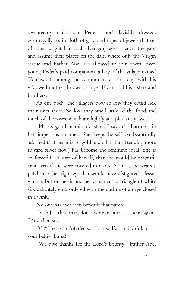seventeen-year-old son, Peder — both lavishly dressed, even regally so, in cloth of gold and ropes of jewels that set off their bright hair and silver-gray eyes-enter the yard and assume their places on the dais, where only the Virgin statue and Father Abel are allowed to join them. Even young Peder's paid companion, a boy of the village named Tomas, sits among the commoners on this day, with his widowed mother, known as Inger Elder, and his sisters and brothers.

As one body, the villagers bow so low they could lick their own shoes. So low they smell little of the food and much of the roses, which are lightly and pleasantly sweet.

" Please, good people, do stand," says the Baroness in her imperious manner. She keeps herself so beautifully adorned that her mix of gold and silver hair (tending more toward silver now) has become the feminine ideal. She is so forceful, so sure of herself, that she would be magnificent even if she were covered in warts. As it is, she wears a patch over her right eye that would have disfigured a lesser woman but on her is another ornament, a triangle of white silk delicately embroidered with the outline of an eye closed in a wink.

No one has ever seen beneath that patch.

"Stand," this marvelous woman invites them again. "And then sit."

*"Eat! "* her son interjects. " Drink! Eat and drink until your bellies burst!"

"We give thanks for the Lord's bounty," Father Abel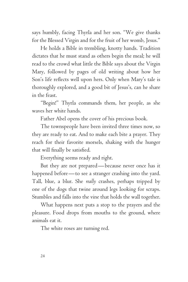says humbly, facing Thyrla and her son. "We give thanks for the Blessed Virgin and for the fruit of her womb, Jesus."

He holds a Bible in trembling, knotty hands. Tradition dictates that he must stand as others begin the meal; he will read to the crowd what little the Bible says about the Virgin Mary, followed by pages of old writing about how her Son's life reflects well upon hers. Only when Mary's tale is thoroughly explored, and a good bit of Jesus's, can he share in the feast.

" Begin!" Thyrla commands them, her people, as she waves her white hands.

Father Abel opens the cover of his precious book.

The townspeople have been invited three times now, so they are ready to eat. And to make each bite a prayer. They reach for their favorite morsels, shaking with the hunger that will finally be satisfied.

Everything seems ready and right.

But they are not prepared — because never once has it happened before — to see a stranger crashing into the yard. Tall, blue, a blur. She *really* crashes, perhaps tripped by one of the dogs that twine around legs looking for scraps. Stumbles and falls into the vine that holds the wall together.

What happens next puts a stop to the prayers and the pleasure. Food drops from mouths to the ground, where animals eat it.

The white roses are turning red.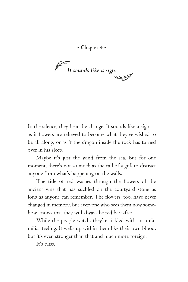**• Chapter 4 •**

*It sounds like a sigh.*

In the silence, they hear the change. It sounds like a sighas if flowers are relieved to become what they've wished to be all along, or as if the dragon inside the rock has turned over in his sleep.

 Maybe it's just the wind from the sea. But for one moment, there's not so much as the call of a gull to distract anyone from what's happening on the walls.

The tide of red washes through the flowers of the ancient vine that has suckled on the courtyard stone as long as anyone can remember. The flowers, too, have never changed in memory, but everyone who sees them now somehow knows that they will always be red hereafter.

 While the people watch, they're tickled with an unfamiliar feeling. It wells up within them like their own blood, but it's even stronger than that and much more foreign.

It's bliss.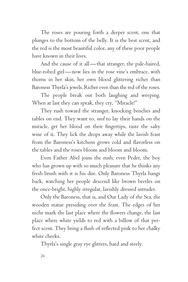The roses are pouring forth a deeper scent, one that plunges to the bottom of the belly. It is the best scent, and the red is the most beautiful color, any of these poor people have known in their lives.

And the cause of it all-that stranger, the pale-haired, blue- robed girl — now lies in the rose vine's embrace, with thorns in her skin, her own blood glittering richer than Baroness Thyrla's jewels. Richer even than the red of the roses.

The people break out both laughing and weeping. When at last they can speak, they cry, "Miracle!"

They rush toward the stranger, knocking benches and tables on end. They want to, *need* to lay their hands on the miracle, get her blood on their fingertips, taste the salty wine of it. They lick the drops away while the lavish feast from the Baroness's kitchens grows cold and flavorless on the tables and the roses bloom and bloom and bloom.

Even Father Abel joins the rush; even Peder, the boy who has grown up with so much pleasure that he thinks any fresh brush with it is his due. Only Baroness Thyrla hangs back, watching her people descend like brown beetles on the once-bright, highly irregular, lavishly dressed intruder.

Only the Baroness, that is, and Our Lady of the Sea, the wooden statue presiding over the feast. The edges of her niche mark the last place where the flowers change, the last place where white yields to red with a billow of that perfect scent. They bring a flush of reflected pink to her chalky white cheeks.

Thyrla's single gray eye glitters, hard and steely.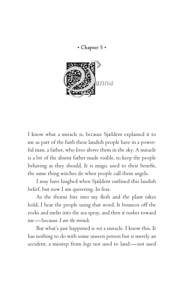**• Chapter 5 •**



I know what a miracle is, because Sjældent explained it to me as part of the faith these landish people have in a powerful man, a father, who lives above them in the sky. A miracle is a bit of the absent father made visible, to keep the people behaving as they should. It is magic used to their benefit, the same thing witches do when people call them angels.

I may have laughed when Sjældent outlined this landish belief, but now I am quivering. In fear.

As the thorns bite into my flesh and the plant takes hold, I hear the people using that word. It bounces off the rocks and melts into the sea spray, and then it rushes toward me — because *I am the miracle.*

But what's just happened is *not* a miracle. I know this. It has nothing to do with some unseen person but is merely an accident, a misstep from legs not used to land — not used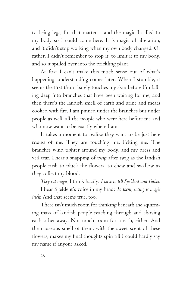to being legs, for that matter — and the magic I called to my body so I could come here. It is magic of alteration, and it didn't stop working when my own body changed. Or rather, I didn't remember to stop it, to limit it to my body, and so it spilled over into the prickling plant.

At first I can't make this much sense out of what's happening; understanding comes later. When I stumble, it seems the first thorn barely touches my skin before I'm falling deep into branches that have been waiting for me, and then there's the landish smell of earth and urine and meats cooked with fire. I am pinned under the branches but under people as well, all the people who were here before me and who now want to be exactly where I am.

It takes a moment to realize they want to be just here *because* of me. They are touching me, licking me. The branches wind tighter around my body, and my dress and veil tear. I hear a snapping of twig after twig as the landish people rush to pluck the flowers, to chew and swallow as they collect my blood.

*They eat magic,* I think hazily. *I have to tell Sjældent and Father.*

I hear Sjældent's voice in my head: *To them, eating is magic itself.* And that seems true, too.

 There isn't much room for thinking beneath the squirming mass of landish people reaching through and shoving each other away. Not much room for breath, either. And the nauseous smell of them, with the sweet scent of these flowers, makes my final thoughts spin till I could hardly say my name if anyone asked.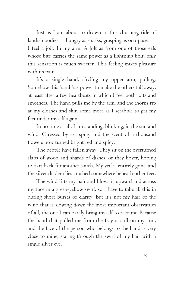Just as I am about to drown in this churning tide of landish bodies — hungry as sharks, grasping as octopuses — I feel a jolt. In my arm. A jolt as from one of those eels whose bite carries the same power as a lightning bolt, only this sensation is much sweeter. This feeling mixes pleasure with its pain.

It's a single hand, circling my upper arm, pulling. Somehow this hand has power to make the others fall away, at least after a few heartbeats in which I feel both jolts and smothers. The hand pulls me by the arm, and the thorns rip at my clothes and skin some more as I scrabble to get my feet under myself again.

In no time at all, I am standing, blinking, in the sun and wind. Caressed by sea spray and the scent of a thousand flowers now turned bright red and spicy.

The people have fallen away. They sit on the overturned slabs of wood and shards of dishes, or they hover, hoping to dart back for another touch. My veil is entirely gone, and the silver diadem lies crushed somewhere beneath other feet.

The wind lifts my hair and blows it upward and across my face in a green- yellow swirl, so I have to take all this in during short bursts of clarity. But it's not my hair or the wind that is slowing down the most important observation of all, the one I can barely bring myself to recount. Because the hand that pulled me from the fray is still on my arm, and the face of the person who belongs to the hand is very close to mine, staring through the swirl of my hair with a single silver eye.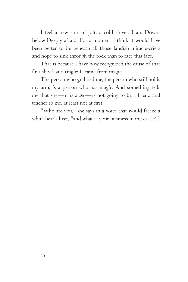I feel a new sort of jolt, a cold shiver. I am Down- Below-Deeply afraid. For a moment I think it would have been better to lie beneath all those landish miracle- criers and hope to sink through the rock than to face this face.

That is because I have now recognized the cause of that first shock and tingle: It came from magic.

The person who grabbed me, the person who still holds my arm, is a person who has magic. And something tells me that she — it is a *she —* is not going to be a friend and teacher to me, at least not at first.

"Who are you," she says in a voice that would freeze a white bear's liver, "and what is your business in my castle?"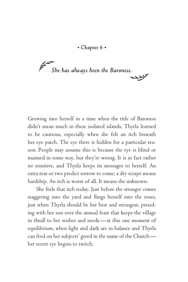**• Chapter 6 •**

*She has always been the Baroness.*

 Growing into herself in a time when the title of Baroness didn't mean much in these isolated islands, Thyrla learned to be cautious, especially when she felt an itch beneath her eye patch. The eye there is hidden for a particular reason. People may assume this is because the eye is blind or maimed in some way, but they're wrong. It is in fact rather *too* sensitive, and Thyrla keeps its messages to herself. An extra tear or two predict sorrow to come; a dry scrape means hardship. An itch is worst of all. It means the unknown.

She feels that itch today. Just before the stranger comes staggering into the yard and flings herself into the roses, just when Thyrla should be her best and strongest, presiding with her son over the annual feast that keeps the village in thrall to her wishes and needs — at this one moment of equilibrium, when light and dark are in balance and Thyrla can feed on her subjects' greed in the name of the Church her secret eye begins to twitch.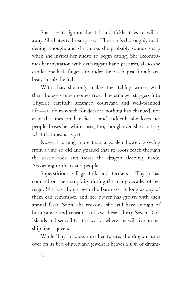She tries to ignore the itch and tickle, tries to will it away. She hates to be surprised. The itch is thoroughly maddening, though, and she thinks she probably sounds sharp when she invites her guests to begin eating. She accompanies her invitation with extravagant hand gestures, all so she can let one little finger slip under the patch, just for a heartbeat, to rub the itch.

With that, she only makes the itching worse. And then the eye's omen comes true. The stranger staggers into Thyrla's carefully arranged courtyard and well-planned life — a life in which for decades nothing has changed, not even the lines on her face — and suddenly she loses her people. Loses her white roses, too, though even she can't say what that means as yet.

Roses. Nothing more than a garden flower, growing from a vine so old and gnarled that its roots reach through the castle rock and tickle the dragon sleeping inside. According to the island people.

 Superstitious village folk and farmers — Thyrla has counted on their stupidity during the many decades of her reign. She has always been the Baroness, as long as any of them can remember, and her power has grown with each annual feast. Soon, she reckons, she will have enough of both power and treasure to leave these Thirty-Seven Dark Islands and set sail for the world, where she will live on her ship like a queen.

 While Thyrla looks into her future, the dragon turns over on its bed of gold and jewels; it heaves a sigh of dream-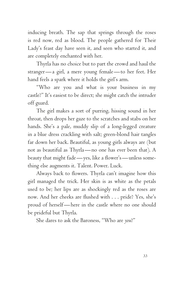inducing breath. The sap that springs through the roses is red now, red as blood. The people gathered for Their Lady's feast day have seen it, and seen who started it, and are completely enchanted with her.

 Thyrla has no choice but to part the crowd and haul the stranger — a girl, a mere young female — to her feet. Her hand feels a spark where it holds the girl's arm.

"Who are you and what is your business in my castle?" It's easiest to be direct; she might catch the intruder off guard.

The girl makes a sort of purring, hissing sound in her throat, then drops her gaze to the scratches and stabs on her hands. She's a pale, muddy slip of a long-legged creature in a blue dress crackling with salt; green-blond hair tangles far down her back. Beautiful, as young girls always are (but not as beautiful as Thyrla — no one has ever been that). A beauty that might fade—yes, like a flower's—unless something else augments it. Talent. Power. Luck.

Always back to flowers. Thyrla can't imagine how this girl managed the trick. Her skin is as white as the petals used to be; her lips are as shockingly red as the roses are now. And her cheeks are flushed with . . . pride? Yes, she's proud of herself — here in the castle where no one should be prideful but Thyrla.

She dares to ask the Baroness, "Who are *you*?"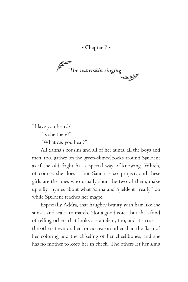**• Chapter 7 •**

*The waterskin singing.*

"Have you heard?"

"Is she there?"

"What *can* you hear?"

All Sanna's cousins and all of her aunts, all the boys and men, too, gather on the green- slimed rocks around Sjældent as if the old fright has a special way of knowing. Which, of course, she does — but Sanna is *her* project, and these girls are the ones who usually shun the two of them, make up silly rhymes about what Sanna and Sjældent "really" do while Sjældent teaches her magic.

 Especially Addra, that haughty beauty with hair like the sunset and scales to match. Not a good voice, but she's fond of telling others that looks are a talent, too, and it's true the others fawn on her for no reason other than the flash of her coloring and the chiseling of her cheekbones, and she has no mother to keep her in check. The others let her sling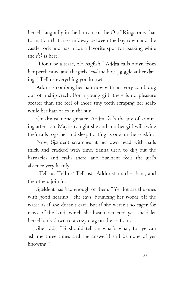herself languidly in the bottom of the O of Ringstone, that formation that rises midway between the bay town and the castle rock and has made a favorite spot for basking while the *flok* is here.

"Don't be a tease, old hagfish!" Addra calls down from her perch now, and the girls (*and* the boys) giggle at her daring. "Tell us everything you know!"

 Addra is combing her hair now with an ivory comb dug out of a shipwreck. For a young girl, there is no pleasure greater than the feel of those tiny teeth scraping her scalp while her hair dries in the sun.

Or almost none greater. Addra feels the joy of admiring attention. Maybe tonight she and another girl will twine their tails together and sleep floating as one on the seaskin.

Now, Sjældent scratches at her own head with nails thick and cracked with time. Sanna used to dig out the barnacles and crabs there, and Sjældent feels the girl's absence very keenly.

"Tell us! Tell us! Tell us!" Addra starts the chant, and the others join in.

 Sjældent has had enough of them. "Yer lot are the ones with good hearing," she says, bouncing her words off the water as if she doesn't care. But if she weren't so eager for news of the land, which she hasn't detected yet, she'd let herself sink down to a cozy crag on the seafloor.

She adds, "*Ye* should tell *me* what's what, for ye can ask me three times and the answer'll still be none of yer knowing."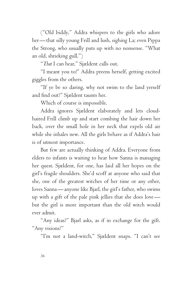("Old biddy," Addra whispers to the girls who adore her — that silly young Frill and lush, sighing La; even Pippa the Strong, who usually puts up with no nonsense. "What an old, shrieking gull.")

"*That* I can hear," Sjældent calls out.

"I meant you to!" Addra preens herself, getting excited giggles from the others.

"If ye be so daring, why not swim to the land yerself and find out?" Sjældent taunts her.

Which of course is impossible.

 Addra ignores Sjældent elaborately and lets cloud haired Frill climb up and start combing the hair down her back, over the small hole in her neck that expels old air while she inhales new. All the girls behave as if Addra's hair is of utmost importance.

But few are actually thinking of Addra. Everyone from elders to infants is waiting to hear how Sanna is managing her quest. Sjældent, for one, has laid all her hopes on the girl's fragile shoulders. She'd scoff at anyone who said that she, one of the greatest witches of her time or any other, loves Sanna — anyone like Bjarl, the girl's father, who swims up with a gift of the pale pink jellies that she does love but the girl is more important than the old witch would ever admit.

"Any ideas?" Bjarl asks, as if in exchange for the gift. "Any visions?"

"I'm not a land- witch," Sjældent snaps. "I can't see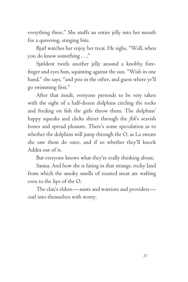everything there." She stuffs an entire jelly into her mouth for a quivering, stinging bite.

 Bjarl watches her enjoy her treat. He sighs. "Well, when you do know something . . ."

 Sjældent twirls another jelly around a knobby forefinger and eyes him, squinting against the sun. "Wish in one hand," she says, "and piss in the other, and guess where ye'll go swimming first."

 After that insult, everyone pretends to be very taken with the sight of a half-dozen dolphins circling the rocks and feeding on fish the girls throw them. The dolphins' happy squeaks and clicks shiver through the *flok's* seavish bones and spread pleasure. There's some speculation as to whether the dolphins will jump through the O, as La swears she saw them do once, and if so whether they'll knock Addra out of it.

But everyone knows what they're really thinking about.

 Sanna. And how she is faring in that strange, rocky land from which the smoky smells of roasted meat are wafting even to the lips of the O.

The clan's elders — aunts and warriors and providers curl into themselves with worry.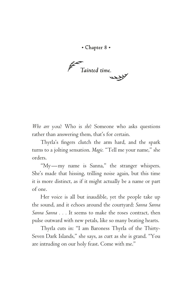**• Chapter 8 •**

 *Tainted time.*

*Who are* you? Who is *she*? Someone who asks questions rather than answering them, that's for certain.

Thyrla's fingers clutch the arm hard, and the spark turns to a jolting sensation. *Magic.* "Tell me your name," she orders.

"My-my name is Sanna," the stranger whispers. She's made that hissing, trilling noise again, but this time it is more distinct, as if it might actually be a name or part of one.

Her voice is all but inaudible, yet the people take up the sound, and it echoes around the courtyard: *Sanna Sanna Sanna Sanna . . .* It seems to make the roses contract, then pulse outward with new petals, like so many beating hearts.

 Thyrla cuts in: "I am Baroness Thyrla of the Thirty- Seven Dark Islands," she says, as curt as she is grand. "You are intruding on our holy feast. Come with me."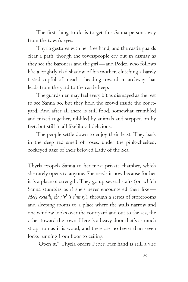The first thing to do is to get this Sanna person away from the town's eyes.

 Thyrla gestures with her free hand, and the castle guards clear a path, though the townspeople cry out in dismay as they see the Baroness and the girl — and Peder, who follows like a brightly clad shadow of his mother, clutching a barely tasted cupful of mead — heading toward an archway that leads from the yard to the castle keep.

The guardsmen may feel every bit as dismayed as the rest to see Sanna go, but they hold the crowd inside the courtyard. And after all there is still food, somewhat crumbled and mixed together, nibbled by animals and stepped on by feet, but still in all likelihood delicious.

The people settle down to enjoy their feast. They bask in the deep red smell of roses, under the pink- cheeked, cockeyed gaze of their beloved Lady of the Sea.

 Thyrla propels Sanna to her most private chamber, which she rarely opens to anyone. She needs it now because for her it is a place of strength. They go up several stairs (on which Sanna stumbles as if she's never encountered their like —  *Holy oxtails, the girl is clumsy*), through a series of storerooms and sleeping rooms to a place where the walls narrow and one window looks over the courtyard and out to the sea, the other toward the town. Here is a heavy door that's as much strap iron as it is wood, and there are no fewer than seven locks running from floor to ceiling.

"Open it," Thyrla orders Peder. Her hand is still a vise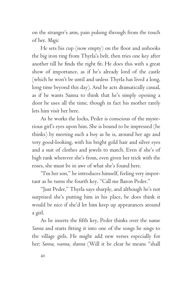on the stranger's arm, pain pulsing through from the touch of her. *Magic.*

He sets his cup (now empty) on the floor and unhooks the big iron ring from Thyrla's belt, then tries one key after another till he finds the right fit. He does this with a great show of importance, as if he's already lord of the castle (which he won't be until and unless Thyrla has lived a long, long time beyond this day). And he acts dramatically casual, as if he wants Sanna to think that he's simply opening a door he uses all the time, though in fact his mother rarely lets him visit her here.

As he works the locks, Peder is conscious of the mysterious girl's eyes upon him. She is bound to be impressed (he thinks) by meeting such a boy as he is, around her age and very good-looking, with his bright gold hair and silver eyes and a suit of clothes and jewels to match. Even if she's of high rank wherever she's from, even given her trick with the roses, she must be in awe of what she's found here.

"I'm her son," he introduces himself, feeling very important as he turns the fourth key. "Call me Baron Peder."

"Just Peder," Thyrla says sharply, and although he's not surprised she's putting him in his place, he does think it would be nice if she'd let him keep up appearances around a girl.

As he inserts the fifth key, Peder thinks over the name Sanna and starts fitting it into one of the songs he sings to the village girls. He might add new verses especially for her: *Sanna, wanna, shanna* (Will it be clear he means "shall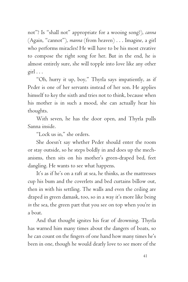not"? Is "shall not" appropriate for a wooing song?), *canna*  ( Again, "cannot"), *manna* (from heaven) . . . Imagine, a girl who performs miracles! He will have to be his most creative to compose the right song for her. But in the end, he is almost entirely sure, she will topple into love like any other  $\chi$ girl  $\ldots$ 

"Oh, hurry it up, boy," Thyrla says impatiently, as if Peder is one of her servants instead of her son. He applies himself to key the sixth and tries not to think, because when his mother is in such a mood, she can actually hear his thoughts.

With seven, he has the door open, and Thyrla pulls Sanna inside.

"Lock us in," she orders.

She doesn't say whether Peder should enter the room or stay outside, so he steps boldly in and does up the mechanisms, then sits on his mother's green- draped bed, feet dangling. He wants to see what happens.

It's as if he's on a raft at sea, he thinks, as the mattresses cup his bum and the coverlets and bed curtains billow out, then in with his settling. The walls and even the ceiling are draped in green damask, too, so in a way it's more like being *in* the sea, the green part that you see on top when you're in a boat.

And that thought ignites his fear of drowning. Thyrla has warned him many times about the dangers of boats, so he can count on the fingers of one hand how many times he's been in one, though he would dearly love to see more of the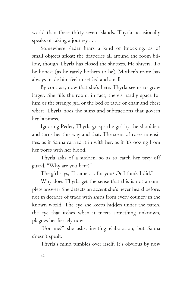world than these thirty-seven islands. Thyrla occasionally speaks of taking a journey . . .

 Somewhere Peder hears a kind of knocking, as of small objects afloat; the draperies all around the room billow, though Thyrla has closed the shutters. He shivers. To be honest (as he rarely bothers to be), Mother's room has always made him feel unsettled and small.

By contrast, now that she's here, Thyrla seems to grow larger. She fills the room, in fact; there's hardly space for him or the strange girl or the bed or table or chair and chest where Thyrla does the sums and subtractions that govern her business.

 Ignoring Peder, Thyrla grasps the girl by the shoulders and turns her this way and that. The scent of roses intensifies, as if Sanna carried it in with her, as if it's oozing from her pores with her blood.

 Thyrla asks of a sudden, so as to catch her prey off guard, "Why are you here?"

The girl says, "I came . . . for you? Or I think I did."

Why does Thyrla get the sense that this is not a complete answer? She detects an accent she's never heard before, not in decades of trade with ships from every country in the known world. The eye she keeps hidden under the patch, the eye that itches when it meets something unknown, plagues her fiercely now.

"For me?" she asks, inviting elaboration, but Sanna doesn't speak.

Thyrla's mind tumbles over itself. It's obvious by now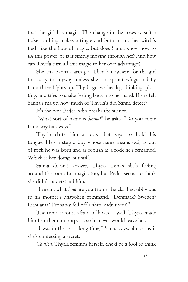that the girl has magic. The change in the roses wasn't a fluke; nothing makes a tingle and burn in another witch's flesh like the flow of magic. But does Sanna know how to *use* this power, or is it simply moving through her? And how can Thyrla turn all this magic to her own advantage?

She lets Sanna's arm go. There's nowhere for the girl to scurry to anyway, unless she can sprout wings and fly from three flights up. Thyrla gnaws her lip, thinking, plotting, and tries to shake feeling back into her hand. If she felt Sanna's magic, how much of Thyrla's did Sanna detect?

It's the boy, Peder, who breaks the silence.

"What sort of name is *Sanna*?" he asks. "Do you come from *very* far away?"

 Thyrla darts him a look that says to hold his tongue. He's a stupid boy whose name means *rock,* as out of rock he was born and as foolish as a rock he's remained. Which is her doing, but still.

 Sanna doesn't answer. Thyrla thinks she's feeling around the room for magic, too, but Peder seems to think she didn't understand him.

"I mean, what *land* are you from?" he clarifies, oblivious to his mother's unspoken command. " Denmark? Sweden? Lithuania? Probably fell off a ship, didn't you?"

The timid idiot is afraid of boats — well, Thyrla made him fear them on purpose, so he never would leave her.

"I was in the sea a long time," Sanna says, almost as if she's confessing a secret.

 *Caution,* Thyrla reminds herself. She'd be a fool to think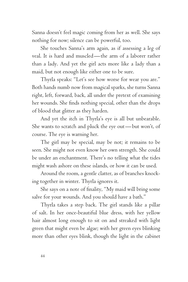Sanna doesn't feel magic coming from her as well. She says nothing for now; silence can be powerful, too.

She touches Sanna's arm again, as if assessing a leg of veal. It is hard and muscled — the arm of a laborer rather than a lady. And yet the girl acts more like a lady than a maid, but not enough like either one to be sure.

 Thyrla speaks: "Let's see how worse for wear you are." Both hands numb now from magical sparks, she turns Sanna right, left, forward, back, all under the pretext of examining her wounds. She finds nothing special, other than the drops of blood that glitter as they harden.

And yet the itch in Thyrla's eye is all but unbearable. She wants to scratch and pluck the eye out—but won't, of course. The eye is warning her.

The girl may be special, may be not; it remains to be seen. She might not even know her own strength. She could be under an enchantment. There's no telling what the tides might wash ashore on these islands, or how it can be used.

 Around the room, a gentle clatter, as of branches knocking together in winter. Thyrla ignores it.

She says on a note of finality, "My maid will bring some salve for your wounds. And you should have a bath."

 Thyrla takes a step back. The girl stands like a pillar of salt. In her once- beautiful blue dress, with her yellow hair almost long enough to sit on and streaked with light green that might even be algae; with her green eyes blinking more than other eyes blink, though the light in the cabinet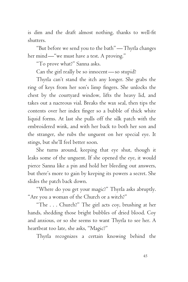is dim and the draft almost nothing, thanks to well-fit shutters.

"But before we send you to the bath" — Thyrla changes her mind—"we must have a test. A proving."

"To prove what?" Sanna asks.

Can the girl really be so innocent — so stupid?

 Thyrla can't stand the itch any longer. She grabs the ring of keys from her son's limp fingers. She unlocks the chest by the courtyard window, lifts the heavy lid, and takes out a nacreous vial. Breaks the wax seal, then tips the contents over her index finger so a bubble of thick white liquid forms. At last she pulls off the silk patch with the embroidered wink, and with her back to both her son and the stranger, she rubs the unguent on her special eye. It stings, but she'll feel better soon.

She turns around, keeping that eye shut, though it leaks some of the unguent. If she opened the eye, it would pierce Sanna like a pin and hold her bleeding out answers, but there's more to gain by keeping its powers a secret. She slides the patch back down.

" Where do you get your magic?" Thyrla asks abruptly. "Are you a woman of the Church or a witch?"

" The . . . Church?" The girl acts coy, brushing at her hands, shedding those bright bubbles of dried blood. Coy and anxious, or so she seems to want Thyrla to see her. A heartbeat too late, she asks, " Magic?"

Thyrla recognizes a certain knowing behind the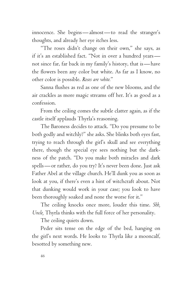innocence. She begins — almost — to read the stranger's thoughts, and already her eye itches less.

"The roses didn't change on their own," she says, as if it's an established fact. "Not in over a hundred years not since far, far back in my family's history, that is — have the flowers been any color but white. As far as I know, no other color is possible. *Roses are white.*"

Sanna flushes as red as one of the new blooms, and the air crackles as more magic streams off her. It's as good as a confession.

From the ceiling comes the subtle clatter again, as if the castle itself applauds Thyrla's reasoning.

The Baroness decides to attack. "Do you presume to be both godly and witchly?" she asks. She blinks both eyes fast, trying to reach through the girl's skull and see everything there, though the special eye sees nothing but the darkness of the patch. "Do you make both miracles and dark spells — or rather, do you try? It's never been done. Just ask Father Abel at the village church. He'll dunk you as soon as look at you, if there's even a hint of witchcraft about. Not that dunking would work in your case; you look to have been thoroughly soaked and none the worse for it."

The ceiling knocks once more, louder this time. *Shh, Uncle,* Thyrla thinks with the full force of her personality.

The ceiling quiets down.

 Peder sits tense on the edge of the bed, hanging on the girl's next words. He looks to Thyrla like a mooncalf, besotted by something new.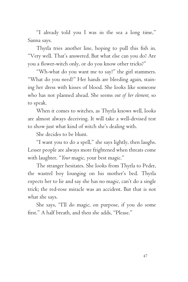"I already told you I was in the sea a long time," Sanna says.

Thyrla tries another line, hoping to pull this fish in. "Very well. That's answered. But what else can you do? Are you a flower-witch only, or do you know other tricks?"

"Wh-what do you want me to say?" the girl stammers. "What do you need?" Her hands are bleeding again, staining her dress with kisses of blood. She looks like someone who has not planned ahead. She seems *out of her element,* so to speak.

When it comes to witches, as Thyrla knows well, looks are almost always deceiving. It will take a well- devised test to show just what kind of witch she's dealing with.

She decides to be blunt.

"I want you to do a spell," she says lightly, then laughs. Lesser people are always more frightened when threats come with laughter. "*Your* magic, your best magic."

The stranger hesitates. She looks from Thyrla to Peder, the wastrel boy lounging on his mother's bed. Thyrla expects her to lie and say she has no magic, can't do a single trick; the red-rose miracle was an accident. But that is not what she says.

She says, "I'll do magic, on purpose, if you do some first." A half breath, and then she adds, "Please."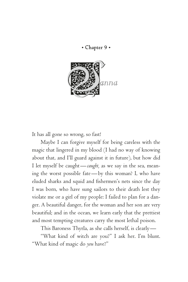**• Chapter 9 •**



It has all gone so wrong, so fast!

 Maybe I can forgive myself for being careless with the magic that lingered in my blood (I had no way of knowing about that, and I'll guard against it in future), but how did I let myself be caught — *caught,* as we say in the sea, meaning the worst possible fate — by this woman? I, who have eluded sharks and squid and fishermen's nets since the day I was born, who have sung sailors to their death lest they violate me or a girl of my people: I failed to plan for a danger. A beautiful danger, for the woman and her son are very beautiful; and in the ocean, we learn early that the prettiest and most tempting creatures carry the most lethal poison.

This Baroness Thyrla, as she calls herself, is clearly —

"What kind of witch are you?" I ask her. I'm blunt. "What kind of magic do *you* have?"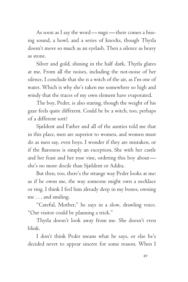As soon as I say the word — *magic —* there comes a hissing sound, a howl, and a series of knocks, though Thyrla doesn't move so much as an eyelash. Then a silence as heavy as stone.

 Silver and gold, shining in the half dark, Thyrla glares at me. From all the noises, including the not-noise of her silence, I conclude that she is a witch of the air, as I'm one of water. Which is why she's taken me somewhere so high and windy that the traces of my own element have evaporated.

The boy, Peder, is also staring, though the weight of his gaze feels quite different. Could he be a witch, too, perhaps of a different sort?

 Sjældent and Father and all of the aunties told me that in this place, men are superior to women, and women must do as men say, even boys. I wonder if they are mistaken, or if the Baroness is simply an exception. She with her castle and her feast and her rose vine, ordering this boy about she's no more docile than Sjældent or Addra.

But then, too, there's the strange way Peder looks at me: as if he owns me, the way someone might own a necklace or ring. I think I feel him already deep in my bones, owning me . . . and smiling.

"Careful, Mother," he says in a slow, drawling voice. "Our visitor could be planning a trick."

 Thyrla doesn't look away from me. She doesn't even blink.

I don't think Peder means what he says, or else he's decided never to appear sincere for some reason. When I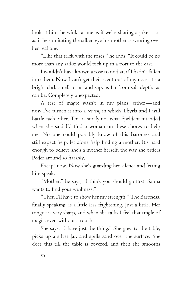look at him, he winks at me as if we're sharing a joke — or as if he's imitating the silken eye his mother is wearing over her real one.

"Like that trick with the roses," he adds. "It could be no more than any sailor would pick up in a port to the east."

I wouldn't have known a rose to nod at, if I hadn't fallen into them. Now I can't get their scent out of my nose; it's a bright- dark smell of air and sap, as far from salt depths as can be. Completely unexpected.

A test of magic wasn't in my plans, either-and now I've turned it into a *contest,* in which Thyrla and I will battle each other. This is surely not what Sjældent intended when she said I'd find a woman on these shores to help me. No one could possibly know of this Baroness and still expect help, let alone help finding a mother. It's hard enough to believe she's a mother herself, the way she orders Peder around so harshly.

 Except now. Now she's guarding her silence and letting him speak.

"Mother," he says, "I think you should go first. Sanna wants to find your weakness."

"Then I'll have to show her my strength." The Baroness, finally speaking, is a little less frightening. Just a little. Her tongue is very sharp, and when she talks I feel that tingle of magic, even without a touch.

She says, "I have just the thing." She goes to the table, picks up a silver jar, and spills sand over the surface. She does this till the table is covered, and then she smooths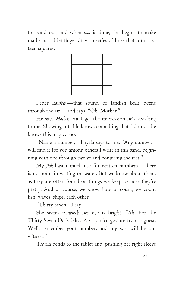the sand out; and when *that* is done, she begins to make marks in it. Her finger draws a series of lines that form sixteen squares:



 Peder laughs — that sound of landish bells borne through the air — and says, "Oh, Mother."

He says *Mother,* but I get the impression he's speaking to me. Showing off: He knows something that I do not; he knows this magic, too.

"Name a number," Thyrla says to me. "Any number. I will find it for you among others I write in this sand, beginning with one through twelve and conjuring the rest."

My *flok* hasn't much use for written numbers-there is no point in writing on water. But we know about them, as they are often found on things we keep because they're pretty. And of course, we know how to count; we count fish, waves, ships, each other.

"Thirty-seven," I say.

She seems pleased; her eye is bright. "Ah. For the Thirty- Seven Dark Isles. A very nice gesture from a guest. Well, remember your number, and my son will be our witness."

Thyrla bends to the tablet and, pushing her right sleeve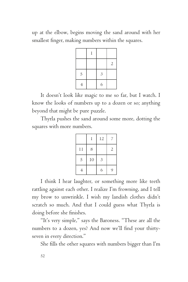up at the elbow, begins moving the sand around with her smallest finger, making numbers within the squares.

|                | I |                |                |
|----------------|---|----------------|----------------|
|                |   |                | $\overline{c}$ |
| 5              |   | $\mathfrak{Z}$ |                |
| $\overline{4}$ |   | 6              |                |

It doesn't look like magic to me so far, but I watch. I know the looks of numbers up to a dozen or so; anything beyond that might be pure puzzle.

 Thyrla pushes the sand around some more, dotting the squares with more numbers.

|    | I  | 12 | 7              |
|----|----|----|----------------|
| 11 | 8  |    | $\overline{2}$ |
| 5  | 10 | 3  |                |
| 4  |    | 6  | 9              |

I think I hear laughter, or something more like teeth rattling against each other. I realize I'm frowning, and I tell my brow to unwrinkle. I wish my landish clothes didn't scratch so much. And that I could guess what Thyrla is doing before she finishes.

"It's very simple," says the Baroness. " These are all the numbers to a dozen, yes? And now we'll find your thirtyseven in every direction."

She fills the other squares with numbers bigger than I'm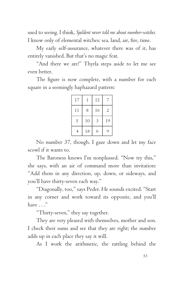used to seeing. I think, *Sjældent never told me about number- witches.* I know only of elemental witches: sea, land, air, fire, time.

My early self-assurance, whatever there was of it, has entirely vanished. But that's no magic feat.

"And there we are!" Thyrla steps aside to let me see even better.

The figure is now complete, with a number for each square in a seemingly haphazard pattern:

| 17 | I  | 12 | 7              |
|----|----|----|----------------|
| 11 | 8  | 16 | $\overline{2}$ |
| 5  | 10 | 3  | 19             |
| 4  | 18 | 6  | 9              |

No number 37, though. I gaze down and let my face scowl if it wants to.

The Baroness knows I'm nonplussed. "Now try this," she says, with an air of command more than invitation: "Add them in any direction, up, down, or sideways, and you'll have thirty-seven each way."

" Diagonally, too," says Peder. He sounds excited. " Start in any corner and work toward its opposite, and you'll have . . ."

"Thirty-seven," they say together.

They are very pleased with themselves, mother and son. I check their sums and see that they are right; the number adds up in each place they say it will.

As I work the arithmetic, the rattling behind the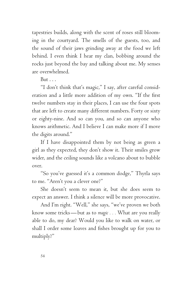tapestries builds, along with the scent of roses still blooming in the courtyard. The smells of the guests, too, and the sound of their jaws grinding away at the food we left behind. I even think I hear my clan, bobbing around the rocks just beyond the bay and talking about me. My senses are overwhelmed.

But . . .

"I don't think that's magic," I say, after careful consideration and a little more addition of my own. "If the first twelve numbers stay in their places, I can use the four spots that are left to create many different numbers. Forty or sixty or eighty- nine. And so can you, and so can anyone who knows arithmetic. And I believe I can make more if I move the digits around."

If I have disappointed them by not being as green a girl as they expected, they don't show it. Their smiles grow wider, and the ceiling sounds like a volcano about to bubble over.

"So you've guessed it's a common dodge," Thyrla says to me. "Aren't you a clever one?"

She doesn't seem to mean it, but she does seem to expect an answer. I think a silence will be more provocative.

And I'm right. "Well," she says, "we've proven we both know some tricks — but as to *magic . . .* What are you really able to do, my dear? Would you like to walk on water, or shall I order some loaves and fishes brought up for you to multiply?"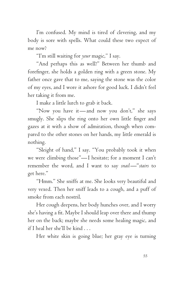I'm confused. My mind is tired of clevering, and my body is sore with spells. What could these two expect of me now?

"I'm still waiting for *your* magic," I say.

"And perhaps this as well?" Between her thumb and forefinger, she holds a golden ring with a green stone. My father once gave that to me, saying the stone was the color of my eyes, and I wore it ashore for good luck. I didn't feel her taking it from me.

I make a little lurch to grab it back.

"Now you have it — and now you don't," she says smugly. She slips the ring onto her own little finger and gazes at it with a show of admiration, though when compared to the other stones on her hands, my little emerald is nothing.

" Sleight of hand," I say. "You probably took it when we were climbing those"— I hesitate; for a moment I can't remember the word, and I want to say *snail —*"*stairs* to get here."

"Hmm." She sniffs at me. She looks very beautiful and very vexed. Then her sniff leads to a cough, and a puff of smoke from each nostril.

Her cough deepens, her body hunches over, and I worry she's having a fit. Maybe I should leap over there and thump her on the back; maybe she needs some healing magic, and if I heal her she'll be kind . . .

Her white skin is going blue; her gray eye is turning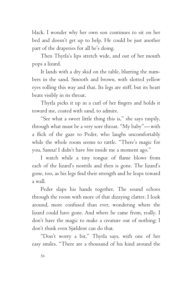black. I wonder why her own son continues to sit on her bed and doesn't get up to help. He could be just another part of the draperies for all he's doing.

Then Thyrla's lips stretch wide, and out of her mouth pops a lizard.

It lands with a dry skid on the table, blurring the numbers in the sand. Smooth and brown, with slotted yellow eyes rolling this way and that. Its legs are stiff, but its heart beats visibly in its throat.

Thyrla picks it up in a curl of her fingers and holds it toward me, coated with sand, to admire.

"See what a sweet little thing this is," she says raspily, through what must be a very sore throat. "My baby"— with a flick of the gaze to Peder, who laughs uncomfortably while the whole room seems to rattle. " There's magic for you, Sanna! I didn't have *him* inside me a moment ago."

I watch while a tiny tongue of flame blows from each of the lizard's nostrils and then is gone. The lizard's gone, too, as his legs find their strength and he leaps toward a wall.

 Peder slaps his hands together. The sound echoes through the room with more of that dizzying clatter. I look around, more confused than ever, wondering where the lizard could have gone. And where he came from, really. I don't have the magic to make a creature out of nothing; I don't think even Sjældent can do that.

"Don't worry a bit," Thyrla says, with one of her easy smiles. " There are a thousand of his kind around the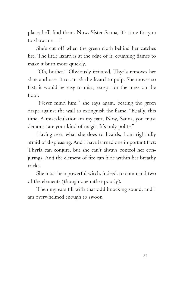place; he'll find them. Now, Sister Sanna, it's time for you to show me —"

She's cut off when the green cloth behind her catches fire. The little lizard is at the edge of it, coughing flames to make it burn more quickly.

"Oh, bother." Obviously irritated, Thyrla removes her shoe and uses it to smash the lizard to pulp. She moves so fast, it would be easy to miss, except for the mess on the floor.

" Never mind him," she says again, beating the green drape against the wall to extinguish the flame. "Really, this time. A miscalculation on my part. Now, Sanna, you must demonstrate your kind of magic. It's only polite."

 Having seen what she does to lizards, I am rightfully afraid of displeasing. And I have learned one important fact: Thyrla can conjure, but she can't always control her conjurings. And the element of fire can hide within her breathy tricks.

She must be a powerful witch, indeed, to command two of the elements (though one rather poorly).

Then my ears fill with that odd knocking sound, and I am overwhelmed enough to swoon.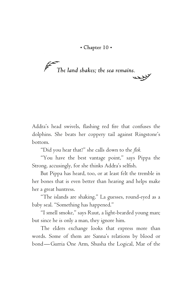**• Chapter 10 •**

*The land shakes; the sea remains.*

Addra's head swivels, flashing red fire that confuses the dolphins. She beats her coppery tail against Ringstone's bottom.

"Did you hear that?" she calls down to the *flok*.

"You have the best vantage point," says Pippa the Strong, accusingly, for she thinks Addra's selfish.

But Pippa has heard, too, or at least felt the tremble in her bones that is even better than hearing and helps make her a great huntress.

"The islands are shaking," La guesses, round-eyed as a baby seal. "Something has happened."

"I smell smoke," says Ruut, a light- bearded young man; but since he is only a man, they ignore him.

The elders exchange looks that express more than words. Some of them are Sanna's relations by blood or bond — Gurria One Arm, Shusha the Logical, Mar of the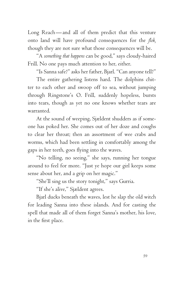Long Reach — and all of them predict that this venture onto land will have profound consequences for the *flok*, though they are not sure what those consequences will be.

"A something that happens can be good," says cloudy-haired Frill. No one pays much attention to her, either.

"Is Sanna safe?" asks her father, Bjarl. "Can anyone tell?"

The entire gathering listens hard. The dolphins chitter to each other and swoop off to sea, without jumping through Ringstone's O. Frill, suddenly hopeless, bursts into tears, though as yet no one knows whether tears are warranted.

At the sound of weeping, Sjældent shudders as if someone has poked her. She comes out of her doze and coughs to clear her throat; then an assortment of wee crabs and worms, which had been settling in comfortably among the gaps in her teeth, goes flying into the waves.

"No telling, no seeing," she says, running her tongue around to feel for more. "Just ye hope our girl keeps some sense about her, and a grip on her magic."

"She'll sing us the story tonight," says Gurria.

"If she's alive," Sjældent agrees.

 Bjarl ducks beneath the waves, lest he slap the old witch for leading Sanna into these islands. And for casting the spell that made all of them forget Sanna's mother, his love, in the first place.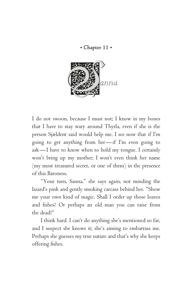**• Chapter 11 •**



I do not swoon, because I must not; I know in my bones that I have to stay wary around Thyrla, even if she is the person Sjældent said would help me. I see now that if I'm going to get anything from her — if I'm even going to ask — I have to know when to hold my tongue. I certainly won't bring up my mother; I won't even think her name (my most treasured secret, or one of them) in the presence of this Baroness.

"Your turn, Sanna," she says again, not minding the lizard's pink and gently smoking carcass behind her. "Show me your own kind of magic. Shall I order up those loaves and fishes? Or perhaps an old man you can raise from the dead?"

I think hard. I can't do anything she's mentioned so far, and I suspect she knows it; she's aiming to embarrass me. Perhaps she guesses my true nature and that's why she keeps offering fishes.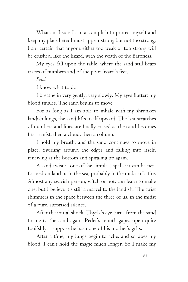What am I sure I can accomplish to protect myself and keep my place here? I must appear strong but not too strong; I am certain that anyone either too weak or too strong will be crushed, like the lizard, with the wrath of the Baroness.

My eyes fall upon the table, where the sand still bears traces of numbers and of the poor lizard's feet.

*Sand.*

I know what to do.

I breathe in very gently, very slowly. My eyes flutter; my blood tingles. The sand begins to move.

For as long as I am able to inhale with my shrunken landish lungs, the sand lifts itself upward. The last scratches of numbers and lines are finally erased as the sand becomes first a mist, then a cloud, then a column.

I hold my breath, and the sand continues to move in place. Swirling around the edges and falling into itself, renewing at the bottom and spiraling up again.

A sand-twist is one of the simplest spells; it can be performed on land or in the sea, probably in the midst of a fire. Almost any seavish person, witch or not, can learn to make one, but I believe it's still a marvel to the landish. The twist shimmers in the space between the three of us, in the midst of a pure, surprised silence.

 After the initial shock, Thyrla's eye turns from the sand to me to the sand again. Peder's mouth gapes open quite foolishly. I suppose he has none of his mother's gifts.

 After a time, my lungs begin to ache, and so does my blood. I can't hold the magic much longer. So I make my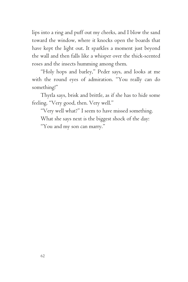lips into a ring and puff out my cheeks, and I blow the sand toward the window, where it knocks open the boards that have kept the light out. It sparkles a moment just beyond the wall and then falls like a whisper over the thick-scented roses and the insects humming among them.

"Holy hops and barley," Peder says, and looks at me with the round eyes of admiration. "You really can do something!"

 Thyrla says, brisk and brittle, as if she has to hide some feeling, "Very good, then. Very well."

"Very well what?" I seem to have missed something. What she says next is the biggest shock of the day: "You and my son can marry."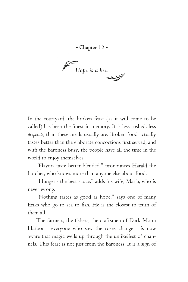**• Chapter 12 •**

*Hope is a bee.*

In the courtyard, the broken feast (as it will come to be called) has been the finest in memory. It is less rushed, less *desperate,* than these meals usually are. Broken food actually tastes better than the elaborate concoctions first served, and with the Baroness busy, the people have all the time in the world to enjoy themselves.

" Flavors taste better blended," pronounces Harald the butcher, who knows more than anyone else about food.

" Hunger's the best sauce," adds his wife, Maria, who is never wrong.

" Nothing tastes as good as hope," says one of many Eriks who go to sea to fish. He is the closest to truth of them all.

The farmers, the fishers, the craftsmen of Dark Moon Harbor-everyone who saw the roses change- is now aware that magic wells up through the unlikeliest of channels. This feast is not just from the Baroness. It is a sign of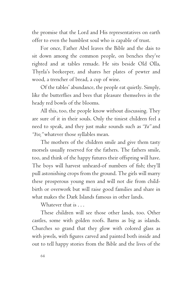the promise that the Lord and His representatives on earth offer to even the humblest soul who is capable of trust.

For once, Father Abel leaves the Bible and the dais to sit down among the common people, on benches they've righted and at tables remade. He sits beside Old Olla, Thyrla's beekeeper, and shares her plates of pewter and wood, a trencher of bread, a cup of wine.

Of the tables' abundance, the people eat quietly. Simply, like the butterflies and bees that pleasure themselves in the heady red bowls of the blooms.

All this, too, the people know without discussing. They are sure of it in their souls. Only the tiniest children feel a need to speak, and they just make sounds such as *"Fa"* and *"Foo,"* whatever those syllables mean.

The mothers of the children smile and give them tasty morsels usually reserved for the fathers. The fathers smile, too, and think of the happy futures their offspring will have. The boys will harvest unheard-of numbers of fish; they'll pull astonishing crops from the ground. The girls will marry these prosperous young men and will not die from childbirth or overwork but will raise good families and share in what makes the Dark Islands famous in other lands.

Whatever that is . . .

 These children will see those other lands, too. Other castles, some with golden roofs. Barns as big as islands. Churches so grand that they glow with colored glass as with jewels, with figures carved and painted both inside and out to tell happy stories from the Bible and the lives of the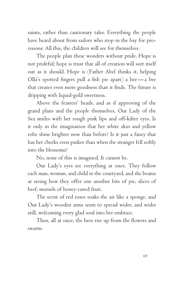saints, rather than cautionary tales. Everything the people have heard about from sailors who stop in the bay for provisions: All this, the children will see for themselves.

The people plan these wonders without pride. Hope is not prideful; hope is trust that all of creation will sort itself out as it should. Hope is (Father Abel thinks it, helping Olla's spotted fingers pull a fish pie apart) a bee—a bee that creates even more goodness than it finds. The future is dripping with liquid-gold sweetness.

 Above the feasters' heads, and as if approving of the grand plans and the people themselves, Our Lady of the Sea smiles with her rough pink lips and off-kilter eyes. Is it only in the imagination that her white skin and yellow robe shine brighter now than before? Is it just a fancy that has her cheeks even pinker than when the stranger fell softly into the blossoms?

No, none of this is imagined. It cannot be.

Our Lady's eyes see everything at once. They follow each man, woman, and child in the courtyard, and she beams at seeing how they offer one another bits of pie, slices of beef, morsels of honey- cured fruit.

The scent of red roses soaks the air like a sponge, and Our Lady's wooden arms seem to spread wider, and wider still, welcoming every glad soul into her embrace.

Then, all at once, the bees rise up from the flowers and swarm.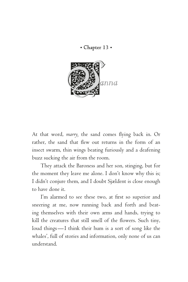**• Chapter 13 •**



At that word, *marry*, the sand comes flying back in. Or rather, the sand that flew out returns in the form of an insect swarm, thin wings beating furiously and a deafening buzz sucking the air from the room.

They attack the Baroness and her son, stinging, but for the moment they leave me alone. I don't know why this is; I didn't conjure them, and I doubt Sjældent is close enough to have done it.

I'm alarmed to see these two, at first so superior and sneering at me, now running back and forth and beating themselves with their own arms and hands, trying to kill the creatures that still smell of the flowers. Such tiny, loud things — I think their hum is a sort of song like the whales', full of stories and information, only none of us can understand.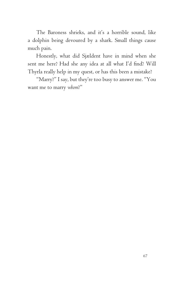The Baroness shrieks, and it's a horrible sound, like a dolphin being devoured by a shark. Small things cause much pain.

 Honestly, what did Sjældent have in mind when she sent me here? Had she any idea at all what I'd find? Will Thyrla really help in my quest, or has this been a mistake?

"Marry?" I say, but they're too busy to answer me. "You want me to marry *whom*?"